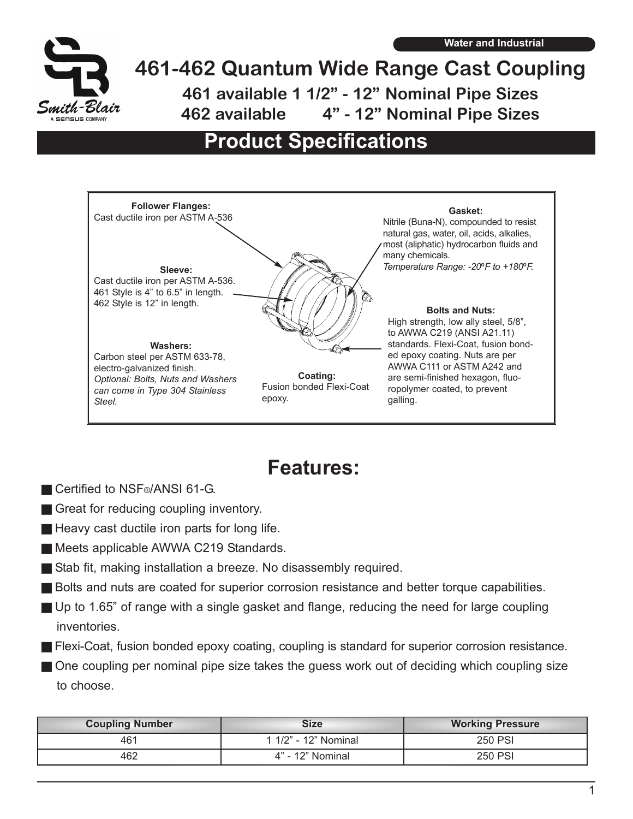

## **461-462 Quantum Wide Range Cast Coupling 461 available 1 1/2" - 12" Nominal Pipe Sizes 462 available 4" - 12" Nominal Pipe Sizes**

## **Product Specifications**



## **Features:**

- Certified to NSF<sup>®</sup>/ANSI 61-G.
- Great for reducing coupling inventory.
- $\blacksquare$  Heavy cast ductile iron parts for long life.
- **EXECUTE:** Meets applicable AWWA C219 Standards.
- Stab fit, making installation a breeze. No disassembly required.
- **Bolts and nuts are coated for superior corrosion resistance and better torque capabilities.**
- g Up to 1.65" of range with a single gasket and flange, reducing the need for large coupling inventories.
- **Flexi-Coat, fusion bonded epoxy coating, coupling is standard for superior corrosion resistance.**
- **One coupling per nominal pipe size takes the quess work out of deciding which coupling size** to choose.

| <b>Coupling Number</b> | Size                 | <b>Working Pressure</b> |
|------------------------|----------------------|-------------------------|
| 461                    | 1 1/2" - 12" Nominal | 250 PSI                 |
| 462                    | 4" - 12" Nominal     | <b>250 PSI</b>          |